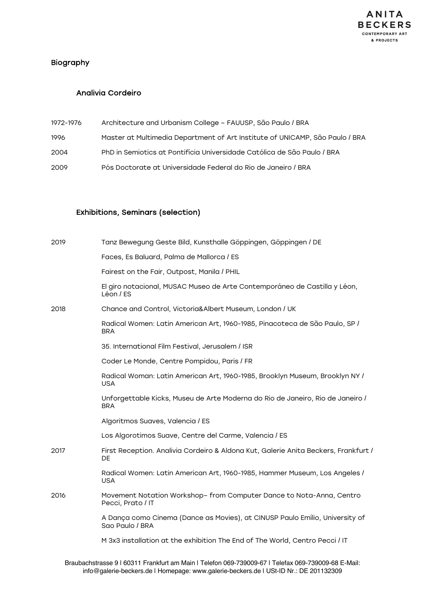## Biography

#### Analivia Cordeiro

| 1972-1976 | Architecture and Urbanism College - FAUUSP, São Paulo / BRA                  |
|-----------|------------------------------------------------------------------------------|
| 1996      | Master at Multimedia Department of Art Institute of UNICAMP, São Paulo / BRA |
| 2004      | PhD in Semiotics at Pontifícia Universidade Católica de São Paulo / BRA      |
| 2009      | Pós Doctorate at Universidade Federal do Rio de Janeiro / BRA                |

#### Exhibitions, Seminars (selection)

| 2019 | Tanz Bewegung Geste Bild, Kunsthalle Göppingen, Göppingen / DE                                  |
|------|-------------------------------------------------------------------------------------------------|
|      | Faces, Es Baluard, Palma de Mallorca / ES                                                       |
|      | Fairest on the Fair, Outpost, Manila / PHIL                                                     |
|      | El giro notacional, MUSAC Museo de Arte Contemporáneo de Castilla y Léon,<br>Léon / ES          |
| 2018 | Chance and Control, Victoria&Albert Museum, London / UK                                         |
|      | Radical Women: Latin American Art, 1960-1985, Pinacoteca de São Paulo, SP /<br><b>BRA</b>       |
|      | 35. International Film Festival, Jerusalem / ISR                                                |
|      | Coder Le Monde, Centre Pompidou, Paris / FR                                                     |
|      | Radical Woman: Latin American Art, 1960-1985, Brooklyn Museum, Brooklyn NY /<br><b>USA</b>      |
|      | Unforgettable Kicks, Museu de Arte Moderna do Rio de Janeiro, Rio de Janeiro /<br><b>BRA</b>    |
|      | Algoritmos Suaves, Valencia / ES                                                                |
|      | Los Algorotimos Suave, Centre del Carme, Valencia / ES                                          |
| 2017 | First Reception. Analivia Cordeiro & Aldona Kut, Galerie Anita Beckers, Frankfurt /<br>DE       |
|      | Radical Women: Latin American Art, 1960-1985, Hammer Museum, Los Angeles /<br><b>USA</b>        |
| 2016 | Movement Notation Workshop- from Computer Dance to Nota-Anna, Centro<br>Pecci, Prato / IT       |
|      | A Dança como Cinema (Dance as Movies), at CINUSP Paulo Emílio, University of<br>Sao Paulo / BRA |
|      | M 3x3 installation at the exhibition The End of The World, Centro Pecci / IT                    |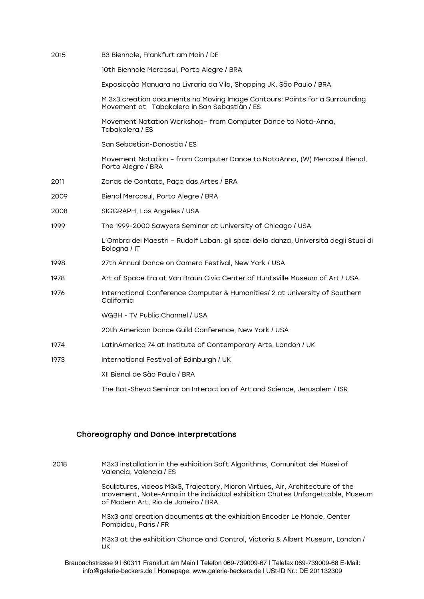| 2015 | B3 Biennale, Frankfurt am Main / DE                                                                                         |
|------|-----------------------------------------------------------------------------------------------------------------------------|
|      | 10th Biennale Mercosul, Porto Alegre / BRA                                                                                  |
|      | Exposicção Manuara na Livraria da Vila, Shopping JK, São Paulo / BRA                                                        |
|      | M 3x3 creation documents na Moving Image Contours: Points for a Surrounding<br>Movement at Tabakalera in San Sebastián / ES |
|      | Movement Notation Workshop- from Computer Dance to Nota-Anna,<br>Tabakalera / ES                                            |
|      | San Sebastian-Donostia / ES                                                                                                 |
|      | Movement Notation - from Computer Dance to NotaAnna, (W) Mercosul Bienal,<br>Porto Alegre / BRA                             |
| 2011 | Zonas de Contato, Paço das Artes / BRA                                                                                      |
| 2009 | Bienal Mercosul, Porto Alegre / BRA                                                                                         |
| 2008 | SIGGRAPH, Los Angeles / USA                                                                                                 |
| 1999 | The 1999-2000 Sawyers Seminar at University of Chicago / USA                                                                |
|      | L'Ombra dei Maestri - Rudolf Laban: gli spazi della danza, Università degli Studi di<br>Bologna / IT                        |
| 1998 | 27th Annual Dance on Camera Festival, New York / USA                                                                        |
| 1978 | Art of Space Era at Von Braun Civic Center of Huntsville Museum of Art / USA                                                |
| 1976 | International Conference Computer & Humanities/ 2 at University of Southern<br>California                                   |
|      | WGBH - TV Public Channel / USA                                                                                              |
|      | 20th American Dance Guild Conference, New York / USA                                                                        |
| 1974 | LatinAmerica 74 at Institute of Contemporary Arts, London / UK                                                              |
| 1973 | International Festival of Edinburgh / UK                                                                                    |
|      | XII Bienal de São Paulo / BRA                                                                                               |
|      | The Bat-Sheva Seminar on Interaction of Art and Science, Jerusalem / ISR                                                    |

#### Choreography and Dance Interpretations

2018 M3x3 installation in the exhibition Soft Algorithms, Comunitat dei Musei of Valencia, Valencia / ES Sculptures, videos M3x3, Trajectory, Micron Virtues, Air, Architecture of the movement, Note-Anna in the individual exhibition Chutes Unforgettable, Museum of Modern Art, Rio de Janeiro / BRA M3x3 and creation documents at the exhibition Encoder Le Monde, Center Pompidou, Paris / FR M3x3 at the exhibition Chance and Control, Victoria & Albert Museum, London / UK

Braubachstrasse 9 | 60311 Frankfurt am Main | Telefon 069-739009-67 | Telefax 069-739009-68 E-Mail: info@galerie-beckers.de | Homepage: www.galerie-beckers.de | USt-ID Nr.: DE 201132309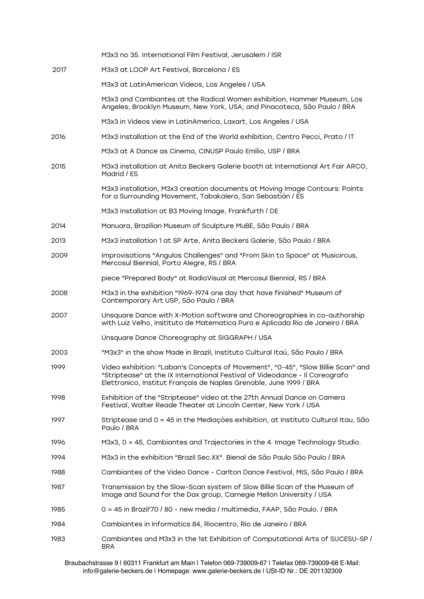|      | M3x3 no 35. International Film Festival, Jerusalem / ISR                                                                                                                                                                              |
|------|---------------------------------------------------------------------------------------------------------------------------------------------------------------------------------------------------------------------------------------|
| 2017 | M3x3 at LOOP Art Festival, Barcelona / ES                                                                                                                                                                                             |
|      | M3x3 at LatinAmerican Videos, Los Angeles / USA                                                                                                                                                                                       |
|      | M3x3 and Cambiantes at the Radical Women exhibition, Hammer Museum, Los<br>Angeles; Brooklyn Museum, New York, USA; and Pinacoteca, São Paulo / BRA                                                                                   |
|      | M3x3 in Videos view in LatinAmerica, Laxart, Los Angeles / USA                                                                                                                                                                        |
| 2016 | M3x3 Installation at the End of the World exhibition, Centro Pecci, Prato / IT                                                                                                                                                        |
|      | M3x3 at A Dance as Cinema, CINUSP Paulo Emílio, USP / BRA                                                                                                                                                                             |
| 2015 | M3x3 installation at Anita Beckers Galerie booth at International Art Fair ARCO,<br>Madrid / ES                                                                                                                                       |
|      | M3x3 installation, M3x3 creation documents at Moving Image Contours: Points<br>for a Surrounding Movement, Tabakalera, San Sebastián / ES                                                                                             |
|      | M3x3 Installation at B3 Moving Image, Frankfurth / DE                                                                                                                                                                                 |
| 2014 | Manuara, Brazilian Museum of Sculpture MuBE, São Paulo / BRA                                                                                                                                                                          |
| 2013 | M3x3 installation 1 at SP Arte, Anita Beckers Galerie, São Paulo / BRA                                                                                                                                                                |
| 2009 | Improvisations "Angulos Challenges" and "From Skin to Space" at Musicircus,<br>Mercosul Biennial, Porto Alegre, RS / BRA                                                                                                              |
|      | piece "Prepared Body" at RadioVisual at Mercosul Biennial, RS / BRA                                                                                                                                                                   |
| 2008 | M3x3 in the exhibition "1969-1974 one day that have finished" Museum of<br>Contemporary Art USP, São Paulo / BRA                                                                                                                      |
| 2007 | Unsquare Dance with X-Motion software and Choreographies in co-authorship<br>with Luiz Velho, Instituto de Matematica Pura e Aplicada Rio de Janeiro / BRA                                                                            |
|      | Unsquare Dance Choreography at SIGGRAPH / USA                                                                                                                                                                                         |
| 2003 | "M3x3" in the show Made in Brazil, Instituto Cultural Itaú, São Paulo / BRA                                                                                                                                                           |
| 1999 | Video exhibition: "Laban's Concepts of Movement", "0-45", "Slow Billie Scan" and<br>"Striptease" at the IX International Festival of Videodance - Il Coreografo<br>Elettronico, Institut Français de Naples Grenoble, June 1999 / BRA |
| 1998 | Exhibition of the "Striptease" video at the 27th Annual Dance on Camera<br>Festival, Walter Reade Theater at Lincoln Center, New York / USA                                                                                           |
| 1997 | Striptease and 0 = 45 in the Mediações exhibition, at Instituto Cultural Itau, São<br>Paulo / BRA                                                                                                                                     |
| 1996 | M3x3, 0 = 45, Cambiantes and Trajectories in the 4. Image Technology Studio.                                                                                                                                                          |
| 1994 | M3x3 in the exhibition "Brazil Sec.XX". Bienal de São Paulo São Paulo / BRA                                                                                                                                                           |
| 1988 | Cambiantes of the Video Dance - Carlton Dance Festival, MIS, São Paulo / BRA                                                                                                                                                          |
| 1987 | Transmission by the Slow-Scan system of Slow Billie Scan of the Museum of<br>Image and Sound for the Dax group, Carnegie Mellon University / USA                                                                                      |
| 1985 | 0 = 45 in Brazil'70 / 80 - new media / multimedia, FAAP, São Paulo. / BRA                                                                                                                                                             |
| 1984 | Cambiantes in Informatics 84, Riocentro, Rio de Janeiro / BRA                                                                                                                                                                         |
| 1983 | Cambiantes and M3x3 in the 1st Exhibition of Computational Arts of SUCESU-SP /<br><b>BRA</b>                                                                                                                                          |

Braubachstrasse 9 | 60311 Frankfurt am Main | Telefon 069-739009-67 | Telefax 069-739009-68 E-Mail: info@galerie-beckers.de | Homepage: www.galerie-beckers.de | USt-ID Nr.: DE 201132309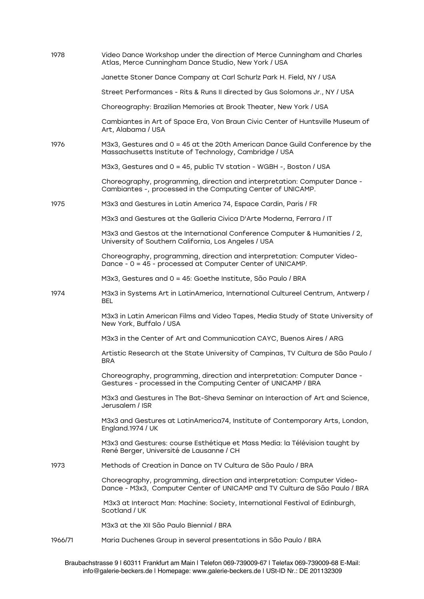| 1978    | Video Dance Workshop under the direction of Merce Cunningham and Charles<br>Atlas, Merce Cunningham Dance Studio, New York / USA                       |
|---------|--------------------------------------------------------------------------------------------------------------------------------------------------------|
|         | Janette Stoner Dance Company at Carl Schurlz Park H. Field, NY / USA                                                                                   |
|         | Street Performances - Rits & Runs II directed by Gus Solomons Jr., NY / USA                                                                            |
|         | Choreography: Brazilian Memories at Brook Theater, New York / USA                                                                                      |
|         | Cambiantes in Art of Space Era, Von Braun Civic Center of Huntsville Museum of<br>Art, Alabama / USA                                                   |
| 1976    | M3x3, Gestures and $0 = 45$ at the 20th American Dance Guild Conference by the<br>Massachusetts Institute of Technology, Cambridge / USA               |
|         | M3x3, Gestures and 0 = 45, public TV station - WGBH -, Boston / USA                                                                                    |
|         | Choreography, programming, direction and interpretation: Computer Dance -<br>Cambiantes -, processed in the Computing Center of UNICAMP.               |
| 1975    | M3x3 and Gestures in Latin America 74, Espace Cardin, Paris / FR                                                                                       |
|         | M3x3 and Gestures at the Galleria Civica D'Arte Moderna, Ferrara / IT                                                                                  |
|         | M3x3 and Gestos at the International Conference Computer & Humanities / 2,<br>University of Southern California, Los Angeles / USA                     |
|         | Choreography, programming, direction and interpretation: Computer Video-<br>Dance - 0 = 45 - processed at Computer Center of UNICAMP.                  |
|         | M3x3, Gestures and 0 = 45: Goethe Institute, São Paulo / BRA                                                                                           |
| 1974    | M3x3 in Systems Art in LatinAmerica, International Cultureel Centrum, Antwerp /<br><b>BEL</b>                                                          |
|         | M3x3 in Latin American Films and Video Tapes, Media Study of State University of<br>New York, Buffalo / USA                                            |
|         | M3x3 in the Center of Art and Communication CAYC, Buenos Aires / ARG                                                                                   |
|         | Artistic Research at the State University of Campinas, TV Cultura de São Paulo /<br><b>BRA</b>                                                         |
|         | Choreography, programming, direction and interpretation: Computer Dance -<br>Gestures - processed in the Computing Center of UNICAMP / BRA             |
|         | M3x3 and Gestures in The Bat-Sheva Seminar on Interaction of Art and Science,<br>Jerusalem / ISR                                                       |
|         | M3x3 and Gestures at LatinAmerica74, Institute of Contemporary Arts, London,<br>England.1974 / UK                                                      |
|         | M3x3 and Gestures: course Esthétique et Mass Media: la Télévision taught by<br>René Berger, Université de Lausanne / CH                                |
| 1973    | Methods of Creation in Dance on TV Cultura de São Paulo / BRA                                                                                          |
|         | Choreography, programming, direction and interpretation: Computer Video-<br>Dance - M3x3, Computer Center of UNICAMP and TV Cultura de São Paulo / BRA |
|         | M3x3 at Interact Man: Machine: Society, International Festival of Edinburgh,<br>Scotland / UK                                                          |
|         | M3x3 at the XII São Paulo Biennial / BRA                                                                                                               |
| 1966/71 | Maria Duchenes Group in several presentations in São Paulo / BRA                                                                                       |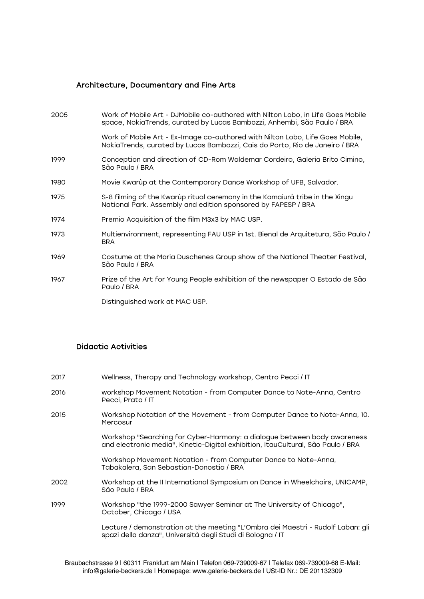#### Architecture, Documentary and Fine Arts

| 2005 | Work of Mobile Art - DJMobile co-authored with Nilton Lobo, in Life Goes Mobile<br>space, NokiaTrends, curated by Lucas Bambozzi, Anhembi, São Paulo / BRA   |
|------|--------------------------------------------------------------------------------------------------------------------------------------------------------------|
|      | Work of Mobile Art - Ex-Image co-authored with Nilton Lobo, Life Goes Mobile,<br>NokiaTrends, curated by Lucas Bambozzi, Cais do Porto, Rio de Janeiro / BRA |
| 1999 | Conception and direction of CD-Rom Waldemar Cordeiro, Galeria Brito Cimino,<br>São Paulo / BRA                                                               |
| 1980 | Movie Kwarùp at the Contemporary Dance Workshop of UFB, Salvador.                                                                                            |
| 1975 | S-8 filming of the Kwarùp ritual ceremony in the Kamaiurá tribe in the Xingu<br>National Park. Assembly and edition sponsored by FAPESP / BRA                |
| 1974 | Premio Acquisition of the film M3x3 by MAC USP.                                                                                                              |
| 1973 | Multienvironment, representing FAU USP in 1st. Bienal de Arquitetura, São Paulo /<br><b>BRA</b>                                                              |
| 1969 | Costume at the Maria Duschenes Group show of the National Theater Festival,<br>São Paulo / BRA                                                               |
| 1967 | Prize of the Art for Young People exhibition of the newspaper O Estado de São<br>Paulo / BRA                                                                 |
|      | Distinguished work at MAC USP.                                                                                                                               |

### Didactic Activities

| 2017 | Wellness, Therapy and Technology workshop, Centro Pecci / IT |
|------|--------------------------------------------------------------|
|      |                                                              |

- 2016 workshop Movement Notation from Computer Dance to Note-Anna, Centro Pecci, Prato / IT
- 2015 Workshop Notation of the Movement from Computer Dance to Nota-Anna, 10. **Mercosur**

Workshop "Searching for Cyber-Harmony: a dialogue between body awareness and electronic media", Kinetic-Digital exhibition, ItauCultural, São Paulo / BRA

Workshop Movement Notation - from Computer Dance to Note-Anna, Tabakalera, San Sebastian-Donostia / BRA

- 2002 Workshop at the II International Symposium on Dance in Wheelchairs, UNICAMP, São Paulo / BRA
- 1999 Workshop "the 1999-2000 Sawyer Seminar at The University of Chicago", October, Chicago / USA

Lecture / demonstration at the meeting "L'Ombra dei Maestri - Rudolf Laban: gli spazi della danza", Università degli Studi di Bologna / IT